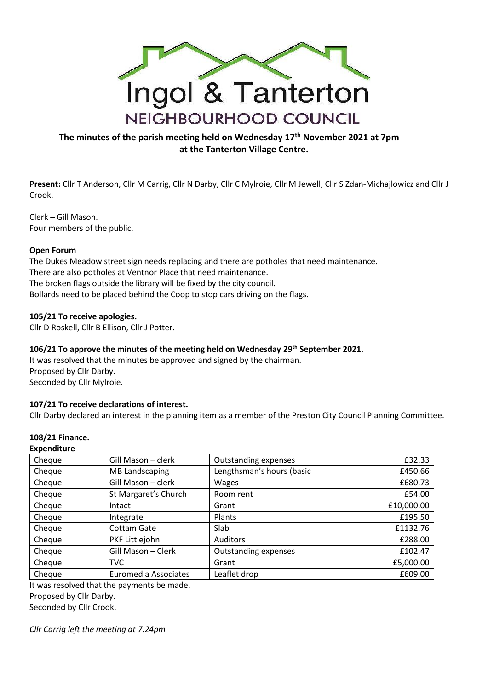

# **The minutes of the parish meeting held on Wednesday 17th November 2021 at 7pm at the Tanterton Village Centre.**

**Present:** Cllr T Anderson, Cllr M Carrig, Cllr N Darby, Cllr C Mylroie, Cllr M Jewell, Cllr S Zdan-Michajlowicz and Cllr J Crook.

Clerk – Gill Mason. Four members of the public.

# **Open Forum**

The Dukes Meadow street sign needs replacing and there are potholes that need maintenance. There are also potholes at Ventnor Place that need maintenance. The broken flags outside the library will be fixed by the city council. Bollards need to be placed behind the Coop to stop cars driving on the flags.

# **105/21 To receive apologies.**

Cllr D Roskell, Cllr B Ellison, Cllr J Potter.

# **106/21 To approve the minutes of the meeting held on Wednesday 29th September 2021.**

It was resolved that the minutes be approved and signed by the chairman. Proposed by Cllr Darby. Seconded by Cllr Mylroie.

### **107/21 To receive declarations of interest.**

Cllr Darby declared an interest in the planning item as a member of the Preston City Council Planning Committee.

### **108/21 Finance.**

#### **Expenditure**

| Cheque | Gill Mason - clerk    | <b>Outstanding expenses</b> | £32.33     |
|--------|-----------------------|-----------------------------|------------|
| Cheque | <b>MB Landscaping</b> | Lengthsman's hours (basic   | £450.66    |
| Cheque | Gill Mason - clerk    | Wages                       | £680.73    |
| Cheque | St Margaret's Church  | Room rent                   | £54.00     |
| Cheque | Intact                | Grant                       | £10,000.00 |
| Cheque | Integrate             | Plants                      | £195.50    |
| Cheque | Cottam Gate           | Slab                        | £1132.76   |
| Cheque | PKF Littlejohn        | <b>Auditors</b>             | £288.00    |
| Cheque | Gill Mason - Clerk    | <b>Outstanding expenses</b> | £102.47    |
| Cheque | TVC.                  | Grant                       | £5,000.00  |
| Cheque | Euromedia Associates  | Leaflet drop                | £609.00    |

It was resolved that the payments be made.

Proposed by Cllr Darby.

Seconded by Cllr Crook.

*Cllr Carrig left the meeting at 7.24pm*